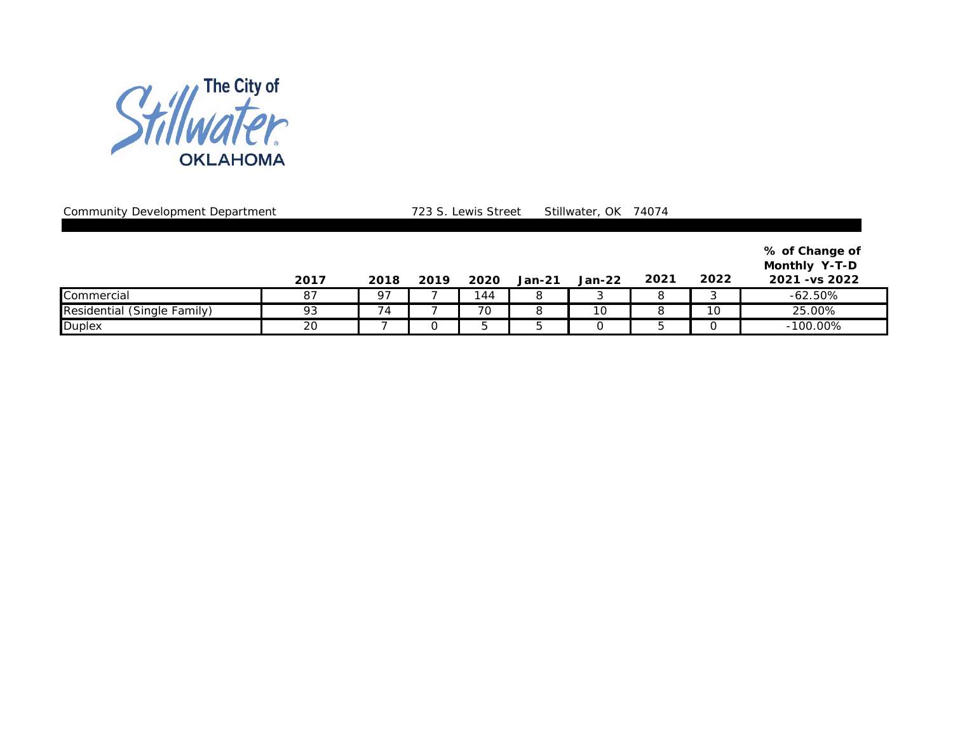

Community Development Department 2008 723 S. Lewis Street Stillwater, OK 74074

|                             | 2017 | 2018 | 2019 | 2020 | <b>Jan-21</b> | $Jan-22$ | 2021 | 2022 | % of Change of<br><b>Monthly Y-T-D</b><br>2021 - vs 2022 |
|-----------------------------|------|------|------|------|---------------|----------|------|------|----------------------------------------------------------|
| Commercial                  | 87   | 97   |      | 144  |               |          |      |      | $-62.50\%$                                               |
| Residential (Single Family) | 93   | 74   |      | 70   |               | 10       |      | 10   | 25.00%                                                   |
| <b>Duplex</b>               | 20   |      |      |      |               |          |      |      | $-100.00\%$                                              |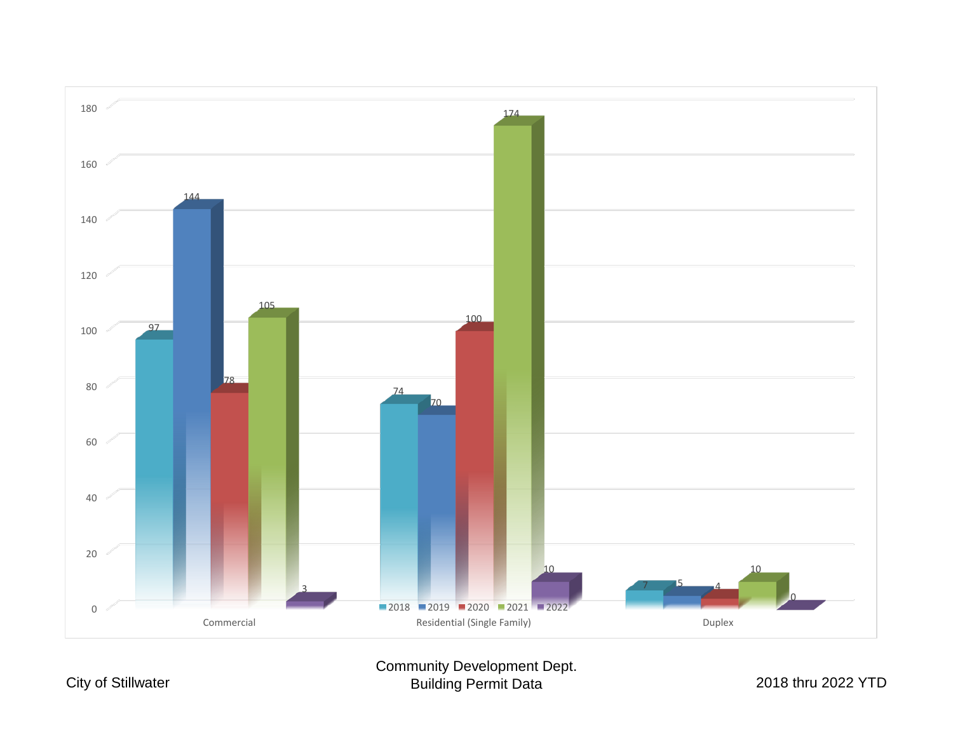

Community Development Dept. Building Permit Data 2018 thru 2022 YTD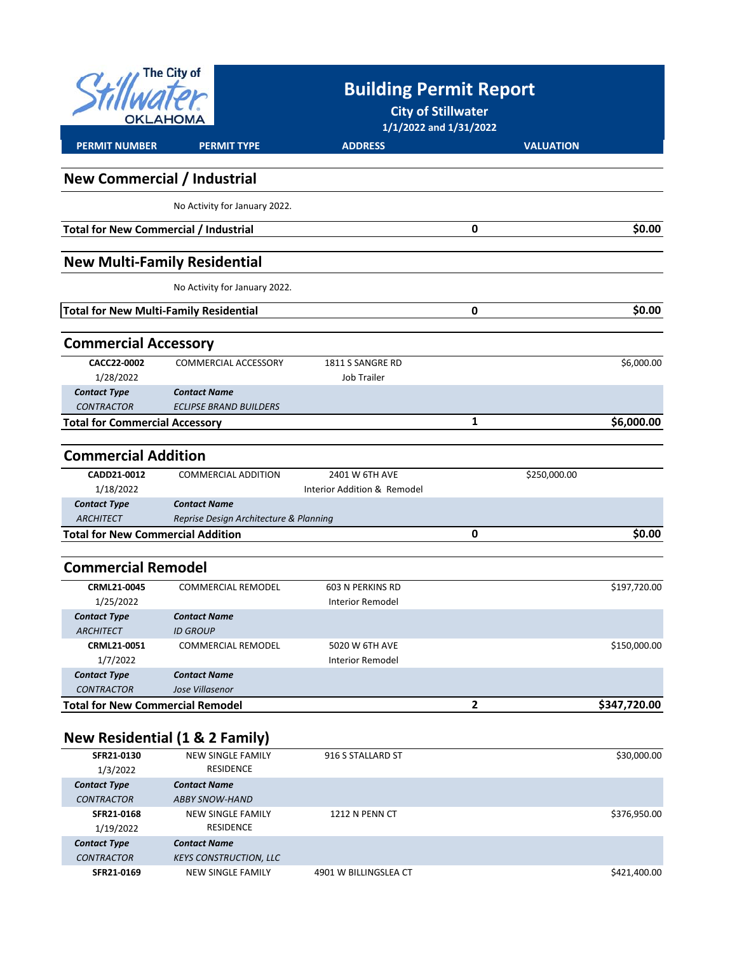| <b>The City of</b><br>AHOMA.                  |                                           | <b>Building Permit Report</b><br><b>City of Stillwater</b><br>1/1/2022 and 1/31/2022 |   |                  |  |
|-----------------------------------------------|-------------------------------------------|--------------------------------------------------------------------------------------|---|------------------|--|
| <b>PERMIT NUMBER</b>                          | <b>PERMIT TYPE</b>                        | <b>ADDRESS</b>                                                                       |   | <b>VALUATION</b> |  |
| <b>New Commercial / Industrial</b>            |                                           |                                                                                      |   |                  |  |
|                                               | No Activity for January 2022.             |                                                                                      |   |                  |  |
| <b>Total for New Commercial / Industrial</b>  |                                           |                                                                                      | 0 | \$0.00           |  |
|                                               | <b>New Multi-Family Residential</b>       |                                                                                      |   |                  |  |
|                                               | No Activity for January 2022.             |                                                                                      |   |                  |  |
| <b>Total for New Multi-Family Residential</b> |                                           |                                                                                      | 0 | \$0.00           |  |
| <b>Commercial Accessory</b>                   |                                           |                                                                                      |   |                  |  |
| CACC22-0002                                   | COMMERCIAL ACCESSORY                      | 1811 S SANGRE RD                                                                     |   | \$6,000.00       |  |
| 1/28/2022                                     |                                           | <b>Job Trailer</b>                                                                   |   |                  |  |
| <b>Contact Type</b>                           | <b>Contact Name</b>                       |                                                                                      |   |                  |  |
| <b>CONTRACTOR</b>                             | <b>ECLIPSE BRAND BUILDERS</b>             |                                                                                      |   |                  |  |
| <b>Total for Commercial Accessory</b>         |                                           |                                                                                      | 1 | \$6,000.00       |  |
| <b>Commercial Addition</b>                    |                                           |                                                                                      |   |                  |  |
| CADD21-0012                                   | <b>COMMERCIAL ADDITION</b>                | 2401 W 6TH AVE                                                                       |   | \$250,000.00     |  |
| 1/18/2022                                     |                                           | Interior Addition & Remodel                                                          |   |                  |  |
| <b>Contact Type</b>                           | <b>Contact Name</b>                       |                                                                                      |   |                  |  |
| <b>ARCHITECT</b>                              | Reprise Design Architecture & Planning    |                                                                                      |   |                  |  |
| <b>Total for New Commercial Addition</b>      |                                           |                                                                                      | 0 | \$0.00           |  |
|                                               |                                           |                                                                                      |   |                  |  |
| <b>Commercial Remodel</b>                     |                                           |                                                                                      |   |                  |  |
| CRML21-0045                                   | <b>COMMERCIAL REMODEL</b>                 | 603 N PERKINS RD                                                                     |   | \$197,720.00     |  |
| 1/25/2022                                     |                                           | <b>Interior Remodel</b>                                                              |   |                  |  |
| <b>Contact Type</b>                           | <b>Contact Name</b>                       |                                                                                      |   |                  |  |
| <b>ARCHITECT</b>                              | <b>ID GROUP</b>                           |                                                                                      |   |                  |  |
| CRML21-0051                                   | COMMERCIAL REMODEL                        | 5020 W 6TH AVE                                                                       |   | \$150,000.00     |  |
| 1/7/2022                                      |                                           | <b>Interior Remodel</b>                                                              |   |                  |  |
| <b>Contact Type</b>                           | <b>Contact Name</b>                       |                                                                                      |   |                  |  |
| <b>CONTRACTOR</b>                             | Jose Villasenor                           |                                                                                      |   |                  |  |
| <b>Total for New Commercial Remodel</b>       |                                           |                                                                                      | 2 | \$347,720.00     |  |
|                                               | <b>New Residential (1 &amp; 2 Family)</b> |                                                                                      |   |                  |  |
| SFR21-0130                                    | <b>NEW SINGLE FAMILY</b>                  | 916 S STALLARD ST                                                                    |   | \$30,000.00      |  |
| 1/3/2022                                      | <b>RESIDENCE</b>                          |                                                                                      |   |                  |  |
| <b>Contact Type</b>                           | <b>Contact Name</b>                       |                                                                                      |   |                  |  |
| <b>CONTRACTOR</b>                             | <b>ABBY SNOW-HAND</b>                     |                                                                                      |   |                  |  |
| SFR21-0168                                    | <b>NEW SINGLE FAMILY</b>                  | 1212 N PENN CT                                                                       |   | \$376,950.00     |  |
| 1/19/2022                                     | RESIDENCE                                 |                                                                                      |   |                  |  |

| <b>Contact Type</b> | <b>Contact Name</b>           |                       |              |
|---------------------|-------------------------------|-----------------------|--------------|
| <b>CONTRACTOR</b>   | <b>KEYS CONSTRUCTION, LLC</b> |                       |              |
| SFR21-0169          | NEW SINGLE FAMILY             | 4901 W BILLINGSLEA CT | \$421,400.00 |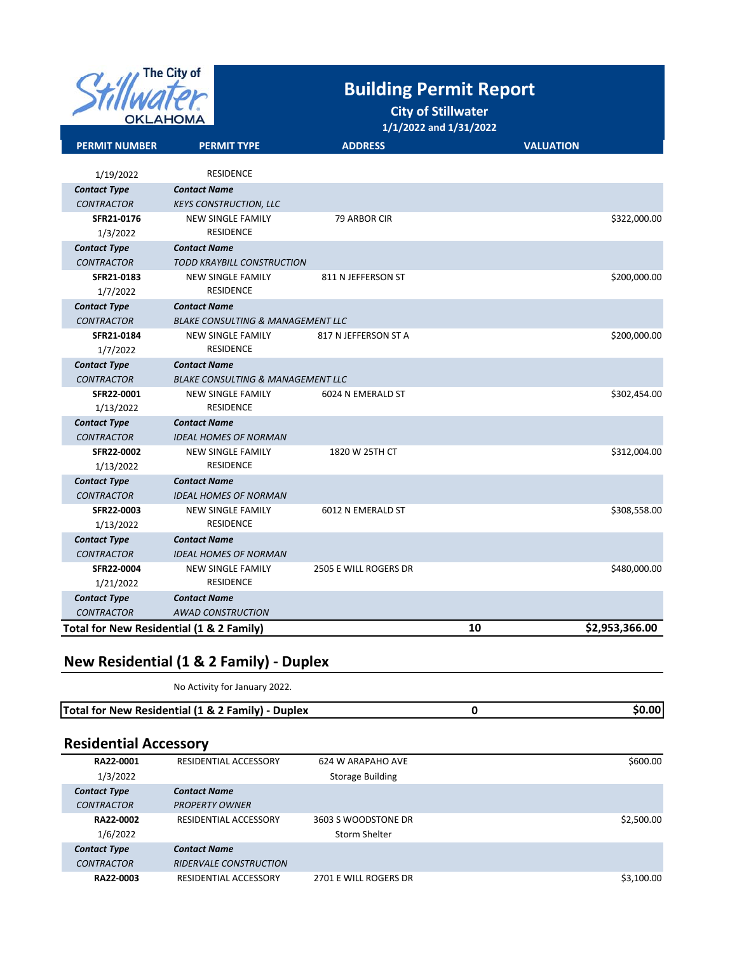

## **Building Permit Report**

**City of Stillwater**

**1/1/2022 and 1/31/2022**

| <b>PERMIT NUMBER</b>                     | <b>PERMIT TYPE</b>                                   | <b>ADDRESS</b>        | <b>VALUATION</b> |                |
|------------------------------------------|------------------------------------------------------|-----------------------|------------------|----------------|
|                                          | <b>RESIDENCE</b>                                     |                       |                  |                |
| 1/19/2022                                |                                                      |                       |                  |                |
| <b>Contact Type</b><br><b>CONTRACTOR</b> | <b>Contact Name</b><br><b>KEYS CONSTRUCTION, LLC</b> |                       |                  |                |
| SFR21-0176                               | <b>NEW SINGLE FAMILY</b>                             | 79 ARBOR CIR          |                  | \$322,000.00   |
| 1/3/2022                                 | <b>RESIDENCE</b>                                     |                       |                  |                |
| <b>Contact Type</b>                      | <b>Contact Name</b>                                  |                       |                  |                |
| <b>CONTRACTOR</b>                        | <b>TODD KRAYBILL CONSTRUCTION</b>                    |                       |                  |                |
| SFR21-0183                               | <b>NEW SINGLE FAMILY</b>                             | 811 N JEFFERSON ST    |                  | \$200,000.00   |
| 1/7/2022                                 | <b>RESIDENCE</b>                                     |                       |                  |                |
| <b>Contact Type</b>                      | <b>Contact Name</b>                                  |                       |                  |                |
| <b>CONTRACTOR</b>                        | <b>BLAKE CONSULTING &amp; MANAGEMENT LLC</b>         |                       |                  |                |
| SFR21-0184                               | <b>NEW SINGLE FAMILY</b>                             | 817 N JEFFERSON ST A  |                  | \$200,000.00   |
| 1/7/2022                                 | <b>RESIDENCE</b>                                     |                       |                  |                |
| <b>Contact Type</b>                      | <b>Contact Name</b>                                  |                       |                  |                |
| <b>CONTRACTOR</b>                        | <b>BLAKE CONSULTING &amp; MANAGEMENT LLC</b>         |                       |                  |                |
| SFR22-0001                               | <b>NEW SINGLE FAMILY</b>                             | 6024 N EMERALD ST     |                  | \$302,454.00   |
| 1/13/2022                                | <b>RESIDENCE</b>                                     |                       |                  |                |
| <b>Contact Type</b>                      | <b>Contact Name</b>                                  |                       |                  |                |
| <b>CONTRACTOR</b>                        | <b>IDEAL HOMES OF NORMAN</b>                         |                       |                  |                |
| SFR22-0002                               | <b>NEW SINGLE FAMILY</b>                             | 1820 W 25TH CT        |                  | \$312,004.00   |
| 1/13/2022                                | <b>RESIDENCE</b>                                     |                       |                  |                |
| <b>Contact Type</b>                      | <b>Contact Name</b>                                  |                       |                  |                |
| <b>CONTRACTOR</b><br><b>SFR22-0003</b>   | <b>IDEAL HOMES OF NORMAN</b><br>NEW SINGLE FAMILY    | 6012 N EMERALD ST     |                  | \$308,558.00   |
| 1/13/2022                                | <b>RESIDENCE</b>                                     |                       |                  |                |
| <b>Contact Type</b>                      | <b>Contact Name</b>                                  |                       |                  |                |
| <b>CONTRACTOR</b>                        | <b>IDEAL HOMES OF NORMAN</b>                         |                       |                  |                |
| SFR22-0004                               | <b>NEW SINGLE FAMILY</b>                             | 2505 E WILL ROGERS DR |                  | \$480,000.00   |
| 1/21/2022                                | <b>RESIDENCE</b>                                     |                       |                  |                |
| <b>Contact Type</b>                      | <b>Contact Name</b>                                  |                       |                  |                |
| <b>CONTRACTOR</b>                        | <b>AWAD CONSTRUCTION</b>                             |                       |                  |                |
| Total for New Residential (1 & 2 Family) |                                                      |                       | 10               | \$2,953,366.00 |

#### **New Residential (1 & 2 Family) ‐ Duplex**

No Activity for January 2022.

| Total for New Residential (1 & 2 Family) -  <br><b>Duplex</b> |  |
|---------------------------------------------------------------|--|
|                                                               |  |

### **Residential Accessory**

| RA22-0001           | RESIDENTIAL ACCESSORY         | 624 W ARAPAHO AVE       | \$600.00   |
|---------------------|-------------------------------|-------------------------|------------|
| 1/3/2022            |                               | <b>Storage Building</b> |            |
| <b>Contact Type</b> | <b>Contact Name</b>           |                         |            |
| <b>CONTRACTOR</b>   | <b>PROPERTY OWNER</b>         |                         |            |
| RA22-0002           | RESIDENTIAL ACCESSORY         | 3603 S WOODSTONE DR     | \$2,500.00 |
| 1/6/2022            |                               | Storm Shelter           |            |
| <b>Contact Type</b> | <b>Contact Name</b>           |                         |            |
| <b>CONTRACTOR</b>   | <b>RIDERVALE CONSTRUCTION</b> |                         |            |
| RA22-0003           | RESIDENTIAL ACCESSORY         | 2701 E WILL ROGERS DR   | \$3,100.00 |